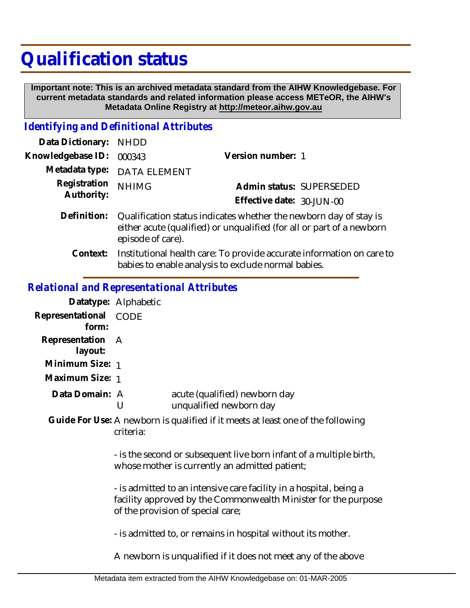## **Qualification status**

 **Important note: This is an archived metadata standard from the AIHW Knowledgebase. For current metadata standards and related information please access METeOR, the AIHW's Metadata Online Registry at http://meteor.aihw.gov.au**

## *Identifying and Definitional Attributes*

| Data Dictionary: NHDD      |                                                                                                                                                                 |                           |                          |
|----------------------------|-----------------------------------------------------------------------------------------------------------------------------------------------------------------|---------------------------|--------------------------|
| Knowledgebase ID:          | 000343                                                                                                                                                          | Version number: 1         |                          |
|                            | Metadata type: DATA ELEMENT                                                                                                                                     |                           |                          |
| Registration<br>Authority: | <b>NHIMG</b>                                                                                                                                                    |                           | Admin status: SUPERSEDED |
|                            |                                                                                                                                                                 | Effective date: 30-JUN-00 |                          |
| Definition:                | Qualification status indicates whether the newborn day of stay is<br>either acute (qualified) or unqualified (for all or part of a newborn<br>episode of care). |                           |                          |
|                            | Contaute lnotitutional health care. To provide coourate information on care                                                                                     |                           |                          |

Context: Institutional health care: To provide accurate information on care to babies to enable analysis to exclude normal babies.

## *Relational and Representational Attributes*

|                                | Datatype: Alphabetic                                                                                                  |                                                                                                                                                                           |  |
|--------------------------------|-----------------------------------------------------------------------------------------------------------------------|---------------------------------------------------------------------------------------------------------------------------------------------------------------------------|--|
| Representational CODE<br>form: |                                                                                                                       |                                                                                                                                                                           |  |
| Representation<br>layout:      | A                                                                                                                     |                                                                                                                                                                           |  |
| Minimum Size: 1                |                                                                                                                       |                                                                                                                                                                           |  |
| Maximum Size: 1                |                                                                                                                       |                                                                                                                                                                           |  |
| Data Domain: A                 | U                                                                                                                     | acute (qualified) newborn day<br>unqualified newborn day                                                                                                                  |  |
|                                | criteria:                                                                                                             | Guide For Use: A newborn is qualified if it meets at least one of the following                                                                                           |  |
|                                | - is the second or subsequent live born infant of a multiple birth,<br>whose mother is currently an admitted patient; |                                                                                                                                                                           |  |
|                                |                                                                                                                       | - is admitted to an intensive care facility in a hospital, being a<br>facility approved by the Commonwealth Minister for the purpose<br>of the provision of special care; |  |
|                                |                                                                                                                       | - is admitted to, or remains in hospital without its mother.                                                                                                              |  |
|                                |                                                                                                                       | A newborn is unqualified if it does not meet any of the above                                                                                                             |  |